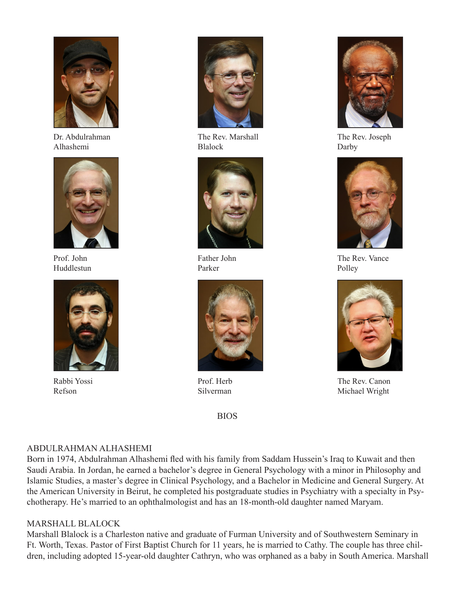

Dr. Abdulrahman Alhashemi



Prof. John Huddlestun



Rabbi Yossi Refson



The Rev. Marshall Blalock



Father John Parker



Prof. Herb Silverman

BIOS



The Rev. Joseph Darby



The Rev. Vance Polley



The Rev. Canon Michael Wright

# ABDULRAHMAN ALHASHEMI

Born in 1974, Abdulrahman Alhashemi fled with his family from Saddam Hussein's Iraq to Kuwait and then Saudi Arabia. In Jordan, he earned a bachelor's degree in General Psychology with a minor in Philosophy and Islamic Studies, a master's degree in Clinical Psychology, and a Bachelor in Medicine and General Surgery. At the American University in Beirut, he completed his postgraduate studies in Psychiatry with a specialty in Psychotherapy. He's married to an ophthalmologist and has an 18-month-old daughter named Maryam.

# MARSHALL BLALOCK

Marshall Blalock is a Charleston native and graduate of Furman University and of Southwestern Seminary in Ft. Worth, Texas. Pastor of First Baptist Church for 11 years, he is married to Cathy. The couple has three children, including adopted 15-year-old daughter Cathryn, who was orphaned as a baby in South America. Marshall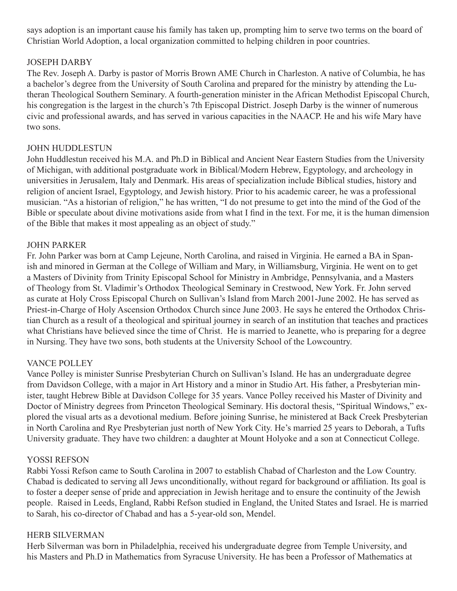says adoption is an important cause his family has taken up, prompting him to serve two terms on the board of Christian World Adoption, a local organization committed to helping children in poor countries.

# JOSEPH DARBY

The Rev. Joseph A. Darby is pastor of Morris Brown AME Church in Charleston. A native of Columbia, he has a bachelor's degree from the University of South Carolina and prepared for the ministry by attending the Lutheran Theological Southern Seminary. A fourth-generation minister in the African Methodist Episcopal Church, his congregation is the largest in the church's 7th Episcopal District. Joseph Darby is the winner of numerous civic and professional awards, and has served in various capacities in the NAACP. He and his wife Mary have two sons.

# JOHN HUDDLESTUN

John Huddlestun received his M.A. and Ph.D in Biblical and Ancient Near Eastern Studies from the University of Michigan, with additional postgraduate work in Biblical/Modern Hebrew, Egyptology, and archeology in universities in Jerusalem, Italy and Denmark. His areas of specialization include Biblical studies, history and religion of ancient Israel, Egyptology, and Jewish history. Prior to his academic career, he was a professional musician. "As a historian of religion," he has written, "I do not presume to get into the mind of the God of the Bible or speculate about divine motivations aside from what I find in the text. For me, it is the human dimension of the Bible that makes it most appealing as an object of study."

# JOHN PARKER

Fr. John Parker was born at Camp Lejeune, North Carolina, and raised in Virginia. He earned a BA in Spanish and minored in German at the College of William and Mary, in Williamsburg, Virginia. He went on to get a Masters of Divinity from Trinity Episcopal School for Ministry in Ambridge, Pennsylvania, and a Masters of Theology from St. Vladimir's Orthodox Theological Seminary in Crestwood, New York. Fr. John served as curate at Holy Cross Episcopal Church on Sullivan's Island from March 2001-June 2002. He has served as Priest-in-Charge of Holy Ascension Orthodox Church since June 2003. He says he entered the Orthodox Christian Church as a result of a theological and spiritual journey in search of an institution that teaches and practices what Christians have believed since the time of Christ. He is married to Jeanette, who is preparing for a degree in Nursing. They have two sons, both students at the University School of the Lowcountry.

# VANCE POLLEY

Vance Polley is minister Sunrise Presbyterian Church on Sullivan's Island. He has an undergraduate degree from Davidson College, with a major in Art History and a minor in Studio Art. His father, a Presbyterian minister, taught Hebrew Bible at Davidson College for 35 years. Vance Polley received his Master of Divinity and Doctor of Ministry degrees from Princeton Theological Seminary. His doctoral thesis, "Spiritual Windows," explored the visual arts as a devotional medium. Before joining Sunrise, he ministered at Back Creek Presbyterian in North Carolina and Rye Presbyterian just north of New York City. He's married 25 years to Deborah, a Tufts University graduate. They have two children: a daughter at Mount Holyoke and a son at Connecticut College.

# YOSSI REFSON

Rabbi Yossi Refson came to South Carolina in 2007 to establish Chabad of Charleston and the Low Country. Chabad is dedicated to serving all Jews unconditionally, without regard for background or affiliation. Its goal is to foster a deeper sense of pride and appreciation in Jewish heritage and to ensure the continuity of the Jewish people. Raised in Leeds, England, Rabbi Refson studied in England, the United States and Israel. He is married to Sarah, his co-director of Chabad and has a 5-year-old son, Mendel.

# HERB SILVERMAN

Herb Silverman was born in Philadelphia, received his undergraduate degree from Temple University, and his Masters and Ph.D in Mathematics from Syracuse University. He has been a Professor of Mathematics at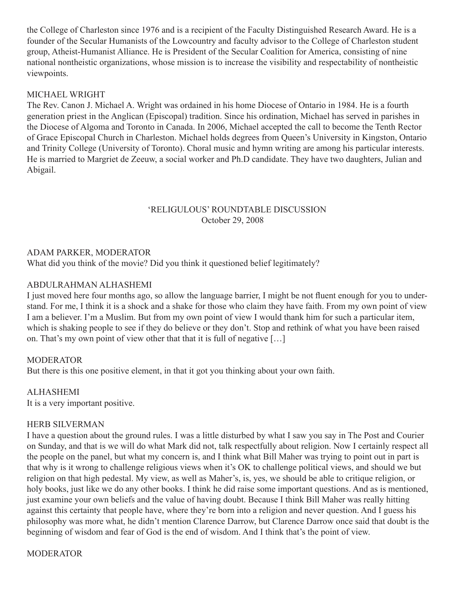the College of Charleston since 1976 and is a recipient of the Faculty Distinguished Research Award. He is a founder of the Secular Humanists of the Lowcountry and faculty advisor to the College of Charleston student group, Atheist-Humanist Alliance. He is President of the Secular Coalition for America, consisting of nine national nontheistic organizations, whose mission is to increase the visibility and respectability of nontheistic viewpoints.

### MICHAEL WRIGHT

The Rev. Canon J. Michael A. Wright was ordained in his home Diocese of Ontario in 1984. He is a fourth generation priest in the Anglican (Episcopal) tradition. Since his ordination, Michael has served in parishes in the Diocese of Algoma and Toronto in Canada. In 2006, Michael accepted the call to become the Tenth Rector of Grace Episcopal Church in Charleston. Michael holds degrees from Queen's University in Kingston, Ontario and Trinity College (University of Toronto). Choral music and hymn writing are among his particular interests. He is married to Margriet de Zeeuw, a social worker and Ph.D candidate. They have two daughters, Julian and Abigail.

### 'RELIGULOUS' ROUNDTABLE DISCUSSION October 29, 2008

#### ADAM PARKER, MODERATOR

What did you think of the movie? Did you think it questioned belief legitimately?

#### ABDULRAHMAN ALHASHEMI

I just moved here four months ago, so allow the language barrier, I might be not fluent enough for you to understand. For me, I think it is a shock and a shake for those who claim they have faith. From my own point of view I am a believer. I'm a Muslim. But from my own point of view I would thank him for such a particular item, which is shaking people to see if they do believe or they don't. Stop and rethink of what you have been raised on. That's my own point of view other that that it is full of negative […]

# **MODERATOR**

But there is this one positive element, in that it got you thinking about your own faith.

ALHASHEMI It is a very important positive.

#### HERB SILVERMAN

I have a question about the ground rules. I was a little disturbed by what I saw you say in The Post and Courier on Sunday, and that is we will do what Mark did not, talk respectfully about religion. Now I certainly respect all the people on the panel, but what my concern is, and I think what Bill Maher was trying to point out in part is that why is it wrong to challenge religious views when it's OK to challenge political views, and should we but religion on that high pedestal. My view, as well as Maher's, is, yes, we should be able to critique religion, or holy books, just like we do any other books. I think he did raise some important questions. And as is mentioned, just examine your own beliefs and the value of having doubt. Because I think Bill Maher was really hitting against this certainty that people have, where they're born into a religion and never question. And I guess his philosophy was more what, he didn't mention Clarence Darrow, but Clarence Darrow once said that doubt is the beginning of wisdom and fear of God is the end of wisdom. And I think that's the point of view.

#### **MODERATOR**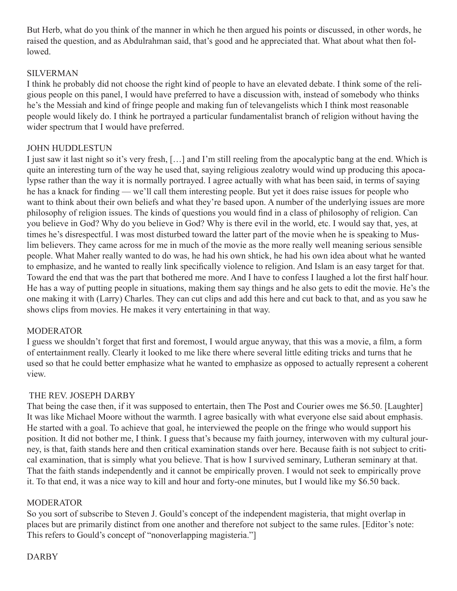But Herb, what do you think of the manner in which he then argued his points or discussed, in other words, he raised the question, and as Abdulrahman said, that's good and he appreciated that. What about what then followed.

# SILVERMAN

I think he probably did not choose the right kind of people to have an elevated debate. I think some of the religious people on this panel, I would have preferred to have a discussion with, instead of somebody who thinks he's the Messiah and kind of fringe people and making fun of televangelists which I think most reasonable people would likely do. I think he portrayed a particular fundamentalist branch of religion without having the wider spectrum that I would have preferred.

# JOHN HUDDLESTUN

I just saw it last night so it's very fresh, […] and I'm still reeling from the apocalyptic bang at the end. Which is quite an interesting turn of the way he used that, saying religious zealotry would wind up producing this apocalypse rather than the way it is normally portrayed. I agree actually with what has been said, in terms of saying he has a knack for finding — we'll call them interesting people. But yet it does raise issues for people who want to think about their own beliefs and what they're based upon. A number of the underlying issues are more philosophy of religion issues. The kinds of questions you would find in a class of philosophy of religion. Can you believe in God? Why do you believe in God? Why is there evil in the world, etc. I would say that, yes, at times he's disrespectful. I was most disturbed toward the latter part of the movie when he is speaking to Muslim believers. They came across for me in much of the movie as the more really well meaning serious sensible people. What Maher really wanted to do was, he had his own shtick, he had his own idea about what he wanted to emphasize, and he wanted to really link specifically violence to religion. And Islam is an easy target for that. Toward the end that was the part that bothered me more. And I have to confess I laughed a lot the first half hour. He has a way of putting people in situations, making them say things and he also gets to edit the movie. He's the one making it with (Larry) Charles. They can cut clips and add this here and cut back to that, and as you saw he shows clips from movies. He makes it very entertaining in that way.

# MODERATOR

I guess we shouldn't forget that first and foremost, I would argue anyway, that this was a movie, a film, a form of entertainment really. Clearly it looked to me like there where several little editing tricks and turns that he used so that he could better emphasize what he wanted to emphasize as opposed to actually represent a coherent view.

# THE REV. JOSEPH DARBY

That being the case then, if it was supposed to entertain, then The Post and Courier owes me \$6.50. [Laughter] It was like Michael Moore without the warmth. I agree basically with what everyone else said about emphasis. He started with a goal. To achieve that goal, he interviewed the people on the fringe who would support his position. It did not bother me, I think. I guess that's because my faith journey, interwoven with my cultural journey, is that, faith stands here and then critical examination stands over here. Because faith is not subject to critical examination, that is simply what you believe. That is how I survived seminary, Lutheran seminary at that. That the faith stands independently and it cannot be empirically proven. I would not seek to empirically prove it. To that end, it was a nice way to kill and hour and forty-one minutes, but I would like my \$6.50 back.

# MODERATOR

So you sort of subscribe to Steven J. Gould's concept of the independent magisteria, that might overlap in places but are primarily distinct from one another and therefore not subject to the same rules. [Editor's note: This refers to Gould's concept of "nonoverlapping magisteria."]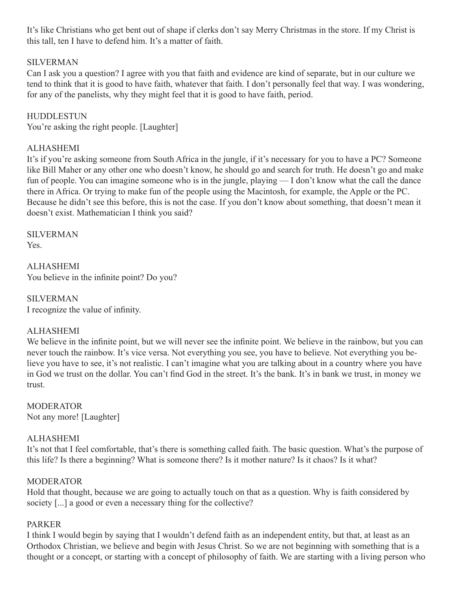It's like Christians who get bent out of shape if clerks don't say Merry Christmas in the store. If my Christ is this tall, ten I have to defend him. It's a matter of faith.

# SILVERMAN

Can I ask you a question? I agree with you that faith and evidence are kind of separate, but in our culture we tend to think that it is good to have faith, whatever that faith. I don't personally feel that way. I was wondering, for any of the panelists, why they might feel that it is good to have faith, period.

### HUDDLESTUN

You're asking the right people. [Laughter]

# ALHASHEMI

It's if you're asking someone from South Africa in the jungle, if it's necessary for you to have a PC? Someone like Bill Maher or any other one who doesn't know, he should go and search for truth. He doesn't go and make fun of people. You can imagine someone who is in the jungle, playing — I don't know what the call the dance there in Africa. Or trying to make fun of the people using the Macintosh, for example, the Apple or the PC. Because he didn't see this before, this is not the case. If you don't know about something, that doesn't mean it doesn't exist. Mathematician I think you said?

SILVERMAN Yes.

ALHASHEMI You believe in the infinite point? Do you?

SILVERMAN I recognize the value of infinity.

# ALHASHEMI

We believe in the infinite point, but we will never see the infinite point. We believe in the rainbow, but you can never touch the rainbow. It's vice versa. Not everything you see, you have to believe. Not everything you believe you have to see, it's not realistic. I can't imagine what you are talking about in a country where you have in God we trust on the dollar. You can't find God in the street. It's the bank. It's in bank we trust, in money we trust.

MODERATOR Not any more! [Laughter]

# ALHASHEMI

It's not that I feel comfortable, that's there is something called faith. The basic question. What's the purpose of this life? Is there a beginning? What is someone there? Is it mother nature? Is it chaos? Is it what?

# **MODERATOR**

Hold that thought, because we are going to actually touch on that as a question. Why is faith considered by society [...] a good or even a necessary thing for the collective?

# PARKER

I think I would begin by saying that I wouldn't defend faith as an independent entity, but that, at least as an Orthodox Christian, we believe and begin with Jesus Christ. So we are not beginning with something that is a thought or a concept, or starting with a concept of philosophy of faith. We are starting with a living person who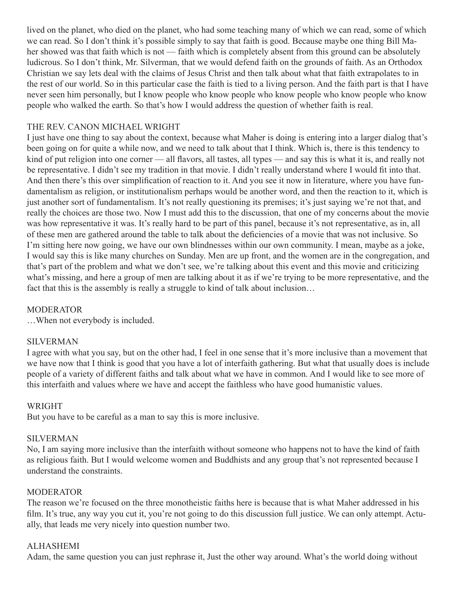lived on the planet, who died on the planet, who had some teaching many of which we can read, some of which we can read. So I don't think it's possible simply to say that faith is good. Because maybe one thing Bill Maher showed was that faith which is not — faith which is completely absent from this ground can be absolutely ludicrous. So I don't think, Mr. Silverman, that we would defend faith on the grounds of faith. As an Orthodox Christian we say lets deal with the claims of Jesus Christ and then talk about what that faith extrapolates to in the rest of our world. So in this particular case the faith is tied to a living person. And the faith part is that I have never seen him personally, but I know people who know people who know people who know people who know people who walked the earth. So that's how I would address the question of whether faith is real.

# THE REV. CANON MICHAEL WRIGHT

I just have one thing to say about the context, because what Maher is doing is entering into a larger dialog that's been going on for quite a while now, and we need to talk about that I think. Which is, there is this tendency to kind of put religion into one corner — all flavors, all tastes, all types — and say this is what it is, and really not be representative. I didn't see my tradition in that movie. I didn't really understand where I would fit into that. And then there's this over simplification of reaction to it. And you see it now in literature, where you have fundamentalism as religion, or institutionalism perhaps would be another word, and then the reaction to it, which is just another sort of fundamentalism. It's not really questioning its premises; it's just saying we're not that, and really the choices are those two. Now I must add this to the discussion, that one of my concerns about the movie was how representative it was. It's really hard to be part of this panel, because it's not representative, as in, all of these men are gathered around the table to talk about the deficiencies of a movie that was not inclusive. So I'm sitting here now going, we have our own blindnesses within our own community. I mean, maybe as a joke, I would say this is like many churches on Sunday. Men are up front, and the women are in the congregation, and that's part of the problem and what we don't see, we're talking about this event and this movie and criticizing what's missing, and here a group of men are talking about it as if we're trying to be more representative, and the fact that this is the assembly is really a struggle to kind of talk about inclusion…

#### MODERATOR

…When not everybody is included.

#### SILVERMAN

I agree with what you say, but on the other had, I feel in one sense that it's more inclusive than a movement that we have now that I think is good that you have a lot of interfaith gathering. But what that usually does is include people of a variety of different faiths and talk about what we have in common. And I would like to see more of this interfaith and values where we have and accept the faithless who have good humanistic values.

# WRIGHT

But you have to be careful as a man to say this is more inclusive.

#### SILVERMAN

No, I am saying more inclusive than the interfaith without someone who happens not to have the kind of faith as religious faith. But I would welcome women and Buddhists and any group that's not represented because I understand the constraints.

#### **MODERATOR**

The reason we're focused on the three monotheistic faiths here is because that is what Maher addressed in his film. It's true, any way you cut it, you're not going to do this discussion full justice. We can only attempt. Actually, that leads me very nicely into question number two.

#### ALHASHEMI

Adam, the same question you can just rephrase it, Just the other way around. What's the world doing without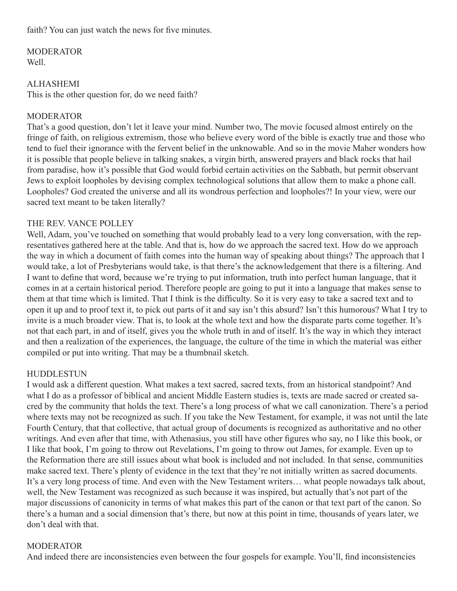faith? You can just watch the news for five minutes.

MODERATOR Well.

# **ALHASHEMI**

This is the other question for, do we need faith?

# MODERATOR

That's a good question, don't let it leave your mind. Number two, The movie focused almost entirely on the fringe of faith, on religious extremism, those who believe every word of the bible is exactly true and those who tend to fuel their ignorance with the fervent belief in the unknowable. And so in the movie Maher wonders how it is possible that people believe in talking snakes, a virgin birth, answered prayers and black rocks that hail from paradise, how it's possible that God would forbid certain activities on the Sabbath, but permit observant Jews to exploit loopholes by devising complex technological solutions that allow them to make a phone call. Loopholes? God created the universe and all its wondrous perfection and loopholes?! In your view, were our sacred text meant to be taken literally?

# THE REV. VANCE POLLEY

Well, Adam, you've touched on something that would probably lead to a very long conversation, with the representatives gathered here at the table. And that is, how do we approach the sacred text. How do we approach the way in which a document of faith comes into the human way of speaking about things? The approach that I would take, a lot of Presbyterians would take, is that there's the acknowledgement that there is a filtering. And I want to define that word, because we're trying to put information, truth into perfect human language, that it comes in at a certain historical period. Therefore people are going to put it into a language that makes sense to them at that time which is limited. That I think is the difficulty. So it is very easy to take a sacred text and to open it up and to proof text it, to pick out parts of it and say isn't this absurd? Isn't this humorous? What I try to invite is a much broader view. That is, to look at the whole text and how the disparate parts come together. It's not that each part, in and of itself, gives you the whole truth in and of itself. It's the way in which they interact and then a realization of the experiences, the language, the culture of the time in which the material was either compiled or put into writing. That may be a thumbnail sketch.

# HUDDLESTUN

I would ask a different question. What makes a text sacred, sacred texts, from an historical standpoint? And what I do as a professor of biblical and ancient Middle Eastern studies is, texts are made sacred or created sacred by the community that holds the text. There's a long process of what we call canonization. There's a period where texts may not be recognized as such. If you take the New Testament, for example, it was not until the late Fourth Century, that that collective, that actual group of documents is recognized as authoritative and no other writings. And even after that time, with Athenasius, you still have other figures who say, no I like this book, or I like that book, I'm going to throw out Revelations, I'm going to throw out James, for example. Even up to the Reformation there are still issues about what book is included and not included. In that sense, communities make sacred text. There's plenty of evidence in the text that they're not initially written as sacred documents. It's a very long process of time. And even with the New Testament writers… what people nowadays talk about, well, the New Testament was recognized as such because it was inspired, but actually that's not part of the major discussions of canonicity in terms of what makes this part of the canon or that text part of the canon. So there's a human and a social dimension that's there, but now at this point in time, thousands of years later, we don't deal with that.

# **MODERATOR**

And indeed there are inconsistencies even between the four gospels for example. You'll, find inconsistencies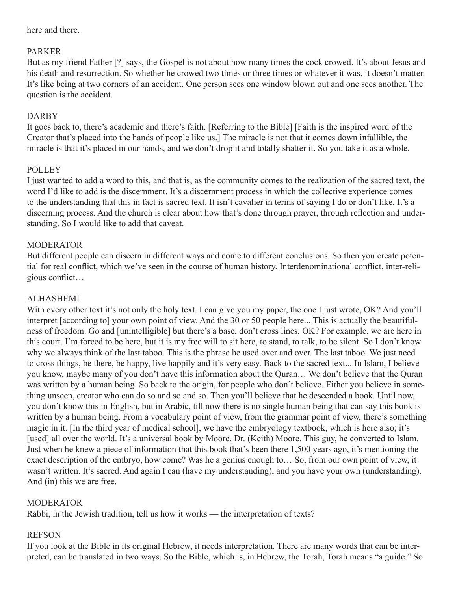here and there.

# PARKER

But as my friend Father [?] says, the Gospel is not about how many times the cock crowed. It's about Jesus and his death and resurrection. So whether he crowed two times or three times or whatever it was, it doesn't matter. It's like being at two corners of an accident. One person sees one window blown out and one sees another. The question is the accident.

# DARBY

It goes back to, there's academic and there's faith. [Referring to the Bible] [Faith is the inspired word of the Creator that's placed into the hands of people like us.] The miracle is not that it comes down infallible, the miracle is that it's placed in our hands, and we don't drop it and totally shatter it. So you take it as a whole.

# POLLEY

I just wanted to add a word to this, and that is, as the community comes to the realization of the sacred text, the word I'd like to add is the discernment. It's a discernment process in which the collective experience comes to the understanding that this in fact is sacred text. It isn't cavalier in terms of saying I do or don't like. It's a discerning process. And the church is clear about how that's done through prayer, through reflection and understanding. So I would like to add that caveat.

# **MODERATOR**

But different people can discern in different ways and come to different conclusions. So then you create potential for real conflict, which we've seen in the course of human history. Interdenominational conflict, inter-religious conflict…

# ALHASHEMI

With every other text it's not only the holy text. I can give you my paper, the one I just wrote, OK? And you'll interpret [according to] your own point of view. And the 30 or 50 people here... This is actually the beautifulness of freedom. Go and [unintelligible] but there's a base, don't cross lines, OK? For example, we are here in this court. I'm forced to be here, but it is my free will to sit here, to stand, to talk, to be silent. So I don't know why we always think of the last taboo. This is the phrase he used over and over. The last taboo. We just need to cross things, be there, be happy, live happily and it's very easy. Back to the sacred text... In Islam, I believe you know, maybe many of you don't have this information about the Quran… We don't believe that the Quran was written by a human being. So back to the origin, for people who don't believe. Either you believe in something unseen, creator who can do so and so and so. Then you'll believe that he descended a book. Until now, you don't know this in English, but in Arabic, till now there is no single human being that can say this book is written by a human being. From a vocabulary point of view, from the grammar point of view, there's something magic in it. [In the third year of medical school], we have the embryology textbook, which is here also; it's [used] all over the world. It's a universal book by Moore, Dr. (Keith) Moore. This guy, he converted to Islam. Just when he knew a piece of information that this book that's been there 1,500 years ago, it's mentioning the exact description of the embryo, how come? Was he a genius enough to… So, from our own point of view, it wasn't written. It's sacred. And again I can (have my understanding), and you have your own (understanding). And (in) this we are free.

# **MODERATOR**

Rabbi, in the Jewish tradition, tell us how it works — the interpretation of texts?

# REFSON

If you look at the Bible in its original Hebrew, it needs interpretation. There are many words that can be interpreted, can be translated in two ways. So the Bible, which is, in Hebrew, the Torah, Torah means "a guide." So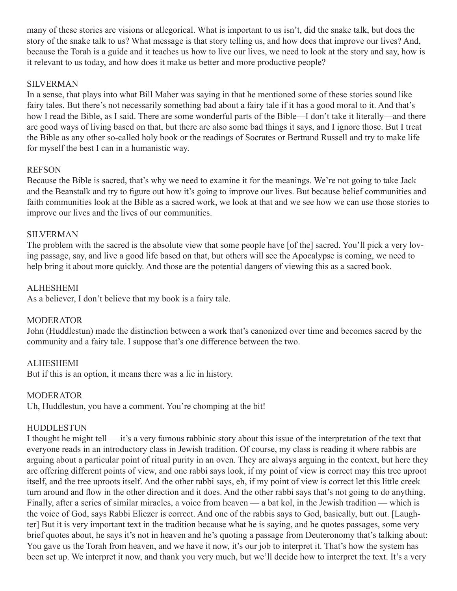many of these stories are visions or allegorical. What is important to us isn't, did the snake talk, but does the story of the snake talk to us? What message is that story telling us, and how does that improve our lives? And, because the Torah is a guide and it teaches us how to live our lives, we need to look at the story and say, how is it relevant to us today, and how does it make us better and more productive people?

### SILVERMAN

In a sense, that plays into what Bill Maher was saying in that he mentioned some of these stories sound like fairy tales. But there's not necessarily something bad about a fairy tale if it has a good moral to it. And that's how I read the Bible, as I said. There are some wonderful parts of the Bible—I don't take it literally—and there are good ways of living based on that, but there are also some bad things it says, and I ignore those. But I treat the Bible as any other so-called holy book or the readings of Socrates or Bertrand Russell and try to make life for myself the best I can in a humanistic way.

#### REFSON

Because the Bible is sacred, that's why we need to examine it for the meanings. We're not going to take Jack and the Beanstalk and try to figure out how it's going to improve our lives. But because belief communities and faith communities look at the Bible as a sacred work, we look at that and we see how we can use those stories to improve our lives and the lives of our communities.

# SILVERMAN

The problem with the sacred is the absolute view that some people have [of the] sacred. You'll pick a very loving passage, say, and live a good life based on that, but others will see the Apocalypse is coming, we need to help bring it about more quickly. And those are the potential dangers of viewing this as a sacred book.

#### ALHESHEMI

As a believer, I don't believe that my book is a fairy tale.

# **MODERATOR**

John (Huddlestun) made the distinction between a work that's canonized over time and becomes sacred by the community and a fairy tale. I suppose that's one difference between the two.

# ALHESHEMI

But if this is an option, it means there was a lie in history.

#### MODERATOR

Uh, Huddlestun, you have a comment. You're chomping at the bit!

#### HUDDLESTUN

I thought he might tell — it's a very famous rabbinic story about this issue of the interpretation of the text that everyone reads in an introductory class in Jewish tradition. Of course, my class is reading it where rabbis are arguing about a particular point of ritual purity in an oven. They are always arguing in the context, but here they are offering different points of view, and one rabbi says look, if my point of view is correct may this tree uproot itself, and the tree uproots itself. And the other rabbi says, eh, if my point of view is correct let this little creek turn around and flow in the other direction and it does. And the other rabbi says that's not going to do anything. Finally, after a series of similar miracles, a voice from heaven — a bat kol, in the Jewish tradition — which is the voice of God, says Rabbi Eliezer is correct. And one of the rabbis says to God, basically, butt out. [Laughter] But it is very important text in the tradition because what he is saying, and he quotes passages, some very brief quotes about, he says it's not in heaven and he's quoting a passage from Deuteronomy that's talking about: You gave us the Torah from heaven, and we have it now, it's our job to interpret it. That's how the system has been set up. We interpret it now, and thank you very much, but we'll decide how to interpret the text. It's a very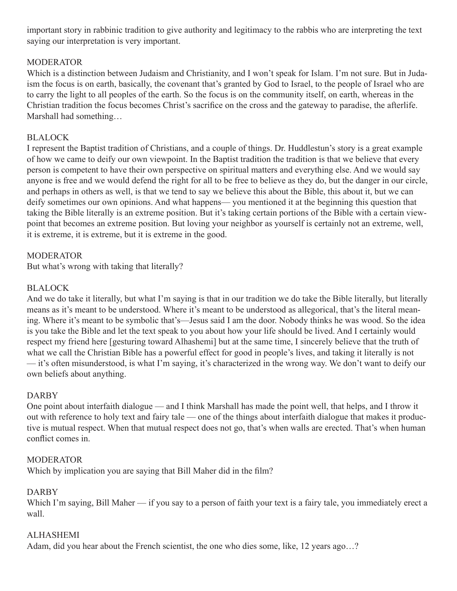important story in rabbinic tradition to give authority and legitimacy to the rabbis who are interpreting the text saying our interpretation is very important.

# MODERATOR

Which is a distinction between Judaism and Christianity, and I won't speak for Islam. I'm not sure. But in Judaism the focus is on earth, basically, the covenant that's granted by God to Israel, to the people of Israel who are to carry the light to all peoples of the earth. So the focus is on the community itself, on earth, whereas in the Christian tradition the focus becomes Christ's sacrifice on the cross and the gateway to paradise, the afterlife. Marshall had something…

# **BLALOCK**

I represent the Baptist tradition of Christians, and a couple of things. Dr. Huddlestun's story is a great example of how we came to deify our own viewpoint. In the Baptist tradition the tradition is that we believe that every person is competent to have their own perspective on spiritual matters and everything else. And we would say anyone is free and we would defend the right for all to be free to believe as they do, but the danger in our circle, and perhaps in others as well, is that we tend to say we believe this about the Bible, this about it, but we can deify sometimes our own opinions. And what happens— you mentioned it at the beginning this question that taking the Bible literally is an extreme position. But it's taking certain portions of the Bible with a certain viewpoint that becomes an extreme position. But loving your neighbor as yourself is certainly not an extreme, well, it is extreme, it is extreme, but it is extreme in the good.

# **MODERATOR**

But what's wrong with taking that literally?

# BLALOCK

And we do take it literally, but what I'm saying is that in our tradition we do take the Bible literally, but literally means as it's meant to be understood. Where it's meant to be understood as allegorical, that's the literal meaning. Where it's meant to be symbolic that's—Jesus said I am the door. Nobody thinks he was wood. So the idea is you take the Bible and let the text speak to you about how your life should be lived. And I certainly would respect my friend here [gesturing toward Alhashemi] but at the same time, I sincerely believe that the truth of what we call the Christian Bible has a powerful effect for good in people's lives, and taking it literally is not — it's often misunderstood, is what I'm saying, it's characterized in the wrong way. We don't want to deify our own beliefs about anything.

# DARBY

One point about interfaith dialogue — and I think Marshall has made the point well, that helps, and I throw it out with reference to holy text and fairy tale — one of the things about interfaith dialogue that makes it productive is mutual respect. When that mutual respect does not go, that's when walls are erected. That's when human conflict comes in.

# **MODERATOR**

Which by implication you are saying that Bill Maher did in the film?

# DARBY

Which I'm saying, Bill Maher — if you say to a person of faith your text is a fairy tale, you immediately erect a wall.

# ALHASHEMI

Adam, did you hear about the French scientist, the one who dies some, like, 12 years ago…?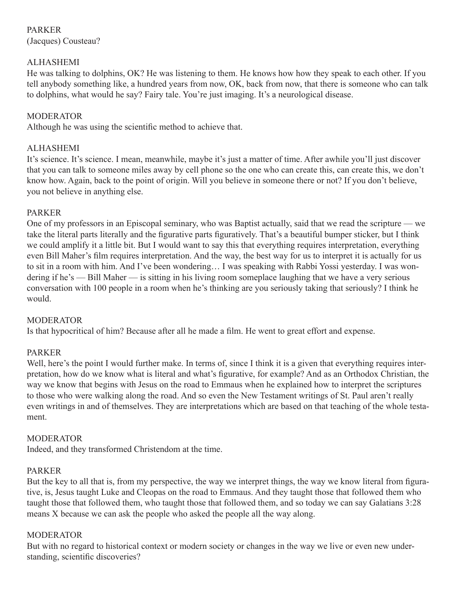PARKER (Jacques) Cousteau?

# ALHASHEMI

He was talking to dolphins, OK? He was listening to them. He knows how how they speak to each other. If you tell anybody something like, a hundred years from now, OK, back from now, that there is someone who can talk to dolphins, what would he say? Fairy tale. You're just imaging. It's a neurological disease.

# MODERATOR

Although he was using the scientific method to achieve that.

# ALHASHEMI

It's science. It's science. I mean, meanwhile, maybe it's just a matter of time. After awhile you'll just discover that you can talk to someone miles away by cell phone so the one who can create this, can create this, we don't know how. Again, back to the point of origin. Will you believe in someone there or not? If you don't believe, you not believe in anything else.

# PARKER

One of my professors in an Episcopal seminary, who was Baptist actually, said that we read the scripture — we take the literal parts literally and the figurative parts figuratively. That's a beautiful bumper sticker, but I think we could amplify it a little bit. But I would want to say this that everything requires interpretation, everything even Bill Maher's film requires interpretation. And the way, the best way for us to interpret it is actually for us to sit in a room with him. And I've been wondering… I was speaking with Rabbi Yossi yesterday. I was wondering if he's — Bill Maher — is sitting in his living room someplace laughing that we have a very serious conversation with 100 people in a room when he's thinking are you seriously taking that seriously? I think he would.

# **MODERATOR**

Is that hypocritical of him? Because after all he made a film. He went to great effort and expense.

# PARKER

Well, here's the point I would further make. In terms of, since I think it is a given that everything requires interpretation, how do we know what is literal and what's figurative, for example? And as an Orthodox Christian, the way we know that begins with Jesus on the road to Emmaus when he explained how to interpret the scriptures to those who were walking along the road. And so even the New Testament writings of St. Paul aren't really even writings in and of themselves. They are interpretations which are based on that teaching of the whole testament.

# MODERATOR

Indeed, and they transformed Christendom at the time.

# PARKER

But the key to all that is, from my perspective, the way we interpret things, the way we know literal from figurative, is, Jesus taught Luke and Cleopas on the road to Emmaus. And they taught those that followed them who taught those that followed them, who taught those that followed them, and so today we can say Galatians 3:28 means X because we can ask the people who asked the people all the way along.

# MODERATOR

But with no regard to historical context or modern society or changes in the way we live or even new understanding, scientific discoveries?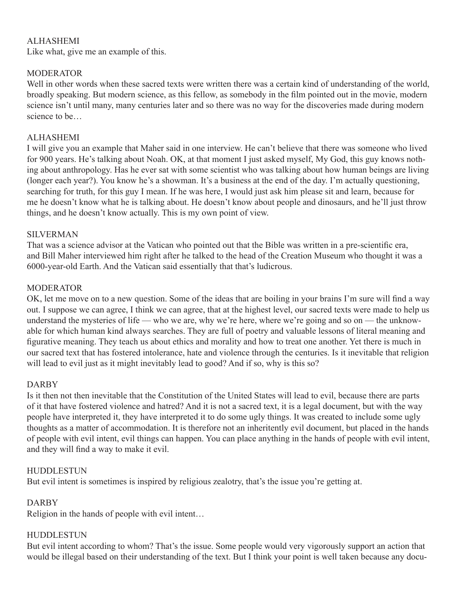# ALHASHEMI

Like what, give me an example of this.

# **MODERATOR**

Well in other words when these sacred texts were written there was a certain kind of understanding of the world, broadly speaking. But modern science, as this fellow, as somebody in the film pointed out in the movie, modern science isn't until many, many centuries later and so there was no way for the discoveries made during modern science to be…

# **ALHASHEMI**

I will give you an example that Maher said in one interview. He can't believe that there was someone who lived for 900 years. He's talking about Noah. OK, at that moment I just asked myself, My God, this guy knows nothing about anthropology. Has he ever sat with some scientist who was talking about how human beings are living (longer each year?). You know he's a showman. It's a business at the end of the day. I'm actually questioning, searching for truth, for this guy I mean. If he was here, I would just ask him please sit and learn, because for me he doesn't know what he is talking about. He doesn't know about people and dinosaurs, and he'll just throw things, and he doesn't know actually. This is my own point of view.

# SILVERMAN

That was a science advisor at the Vatican who pointed out that the Bible was written in a pre-scientific era, and Bill Maher interviewed him right after he talked to the head of the Creation Museum who thought it was a 6000-year-old Earth. And the Vatican said essentially that that's ludicrous.

# **MODERATOR**

OK, let me move on to a new question. Some of the ideas that are boiling in your brains I'm sure will find a way out. I suppose we can agree, I think we can agree, that at the highest level, our sacred texts were made to help us understand the mysteries of life — who we are, why we're here, where we're going and so on — the unknowable for which human kind always searches. They are full of poetry and valuable lessons of literal meaning and figurative meaning. They teach us about ethics and morality and how to treat one another. Yet there is much in our sacred text that has fostered intolerance, hate and violence through the centuries. Is it inevitable that religion will lead to evil just as it might inevitably lead to good? And if so, why is this so?

# DARBY

Is it then not then inevitable that the Constitution of the United States will lead to evil, because there are parts of it that have fostered violence and hatred? And it is not a sacred text, it is a legal document, but with the way people have interpreted it, they have interpreted it to do some ugly things. It was created to include some ugly thoughts as a matter of accommodation. It is therefore not an inheritently evil document, but placed in the hands of people with evil intent, evil things can happen. You can place anything in the hands of people with evil intent, and they will find a way to make it evil.

# HUDDLESTUN

But evil intent is sometimes is inspired by religious zealotry, that's the issue you're getting at.

# DARBY

Religion in the hands of people with evil intent…

# **HUDDLESTUN**

But evil intent according to whom? That's the issue. Some people would very vigorously support an action that would be illegal based on their understanding of the text. But I think your point is well taken because any docu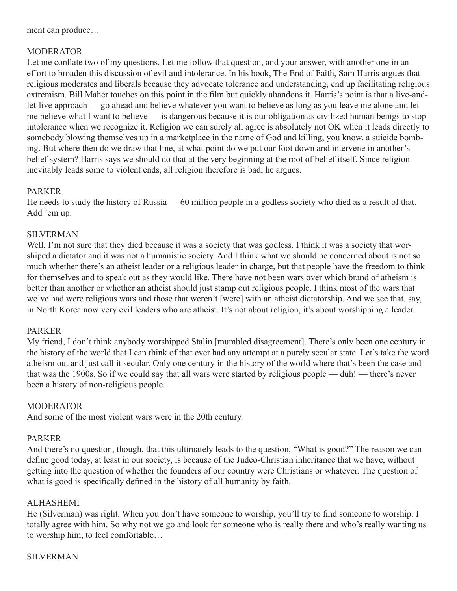ment can produce…

# MODERATOR

Let me conflate two of my questions. Let me follow that question, and your answer, with another one in an effort to broaden this discussion of evil and intolerance. In his book, The End of Faith, Sam Harris argues that religious moderates and liberals because they advocate tolerance and understanding, end up facilitating religious extremism. Bill Maher touches on this point in the film but quickly abandons it. Harris's point is that a live-andlet-live approach — go ahead and believe whatever you want to believe as long as you leave me alone and let me believe what I want to believe — is dangerous because it is our obligation as civilized human beings to stop intolerance when we recognize it. Religion we can surely all agree is absolutely not OK when it leads directly to somebody blowing themselves up in a marketplace in the name of God and killing, you know, a suicide bombing. But where then do we draw that line, at what point do we put our foot down and intervene in another's belief system? Harris says we should do that at the very beginning at the root of belief itself. Since religion inevitably leads some to violent ends, all religion therefore is bad, he argues.

# PARKER

He needs to study the history of Russia — 60 million people in a godless society who died as a result of that. Add 'em up.

# SILVERMAN

Well, I'm not sure that they died because it was a society that was godless. I think it was a society that worshiped a dictator and it was not a humanistic society. And I think what we should be concerned about is not so much whether there's an atheist leader or a religious leader in charge, but that people have the freedom to think for themselves and to speak out as they would like. There have not been wars over which brand of atheism is better than another or whether an atheist should just stamp out religious people. I think most of the wars that we've had were religious wars and those that weren't [were] with an atheist dictatorship. And we see that, say, in North Korea now very evil leaders who are atheist. It's not about religion, it's about worshipping a leader.

# PARKER

My friend, I don't think anybody worshipped Stalin [mumbled disagreement]. There's only been one century in the history of the world that I can think of that ever had any attempt at a purely secular state. Let's take the word atheism out and just call it secular. Only one century in the history of the world where that's been the case and that was the 1900s. So if we could say that all wars were started by religious people — duh! — there's never been a history of non-religious people.

# MODERATOR

And some of the most violent wars were in the 20th century.

# PARKER

And there's no question, though, that this ultimately leads to the question, "What is good?" The reason we can define good today, at least in our society, is because of the Judeo-Christian inheritance that we have, without getting into the question of whether the founders of our country were Christians or whatever. The question of what is good is specifically defined in the history of all humanity by faith.

# ALHASHEMI

He (Silverman) was right. When you don't have someone to worship, you'll try to find someone to worship. I totally agree with him. So why not we go and look for someone who is really there and who's really wanting us to worship him, to feel comfortable…

# SILVERMAN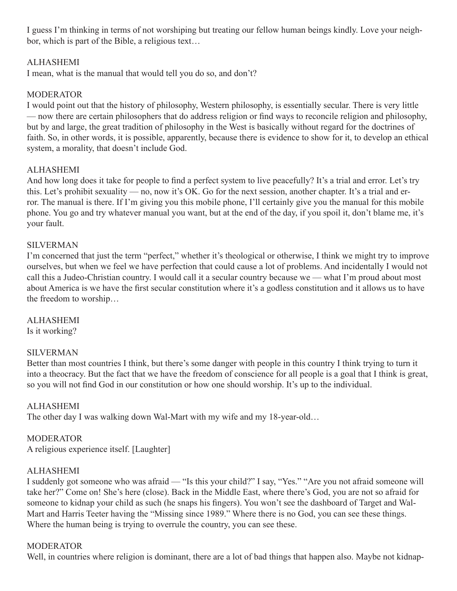I guess I'm thinking in terms of not worshiping but treating our fellow human beings kindly. Love your neighbor, which is part of the Bible, a religious text…

# ALHASHEMI

I mean, what is the manual that would tell you do so, and don't?

# **MODERATOR**

I would point out that the history of philosophy, Western philosophy, is essentially secular. There is very little — now there are certain philosophers that do address religion or find ways to reconcile religion and philosophy, but by and large, the great tradition of philosophy in the West is basically without regard for the doctrines of faith. So, in other words, it is possible, apparently, because there is evidence to show for it, to develop an ethical system, a morality, that doesn't include God.

# ALHASHEMI

And how long does it take for people to find a perfect system to live peacefully? It's a trial and error. Let's try this. Let's prohibit sexuality — no, now it's OK. Go for the next session, another chapter. It's a trial and error. The manual is there. If I'm giving you this mobile phone, I'll certainly give you the manual for this mobile phone. You go and try whatever manual you want, but at the end of the day, if you spoil it, don't blame me, it's your fault.

# SILVERMAN

I'm concerned that just the term "perfect," whether it's theological or otherwise, I think we might try to improve ourselves, but when we feel we have perfection that could cause a lot of problems. And incidentally I would not call this a Judeo-Christian country. I would call it a secular country because we — what I'm proud about most about America is we have the first secular constitution where it's a godless constitution and it allows us to have the freedom to worship…

# ALHASHEMI

Is it working?

# SILVERMAN

Better than most countries I think, but there's some danger with people in this country I think trying to turn it into a theocracy. But the fact that we have the freedom of conscience for all people is a goal that I think is great, so you will not find God in our constitution or how one should worship. It's up to the individual.

# ALHASHEMI

The other day I was walking down Wal-Mart with my wife and my 18-year-old…

# MODERATOR

A religious experience itself. [Laughter]

# ALHASHEMI

I suddenly got someone who was afraid — "Is this your child?" I say, "Yes." "Are you not afraid someone will take her?" Come on! She's here (close). Back in the Middle East, where there's God, you are not so afraid for someone to kidnap your child as such (he snaps his fingers). You won't see the dashboard of Target and Wal-Mart and Harris Teeter having the "Missing since 1989." Where there is no God, you can see these things. Where the human being is trying to overrule the country, you can see these.

# MODERATOR

Well, in countries where religion is dominant, there are a lot of bad things that happen also. Maybe not kidnap-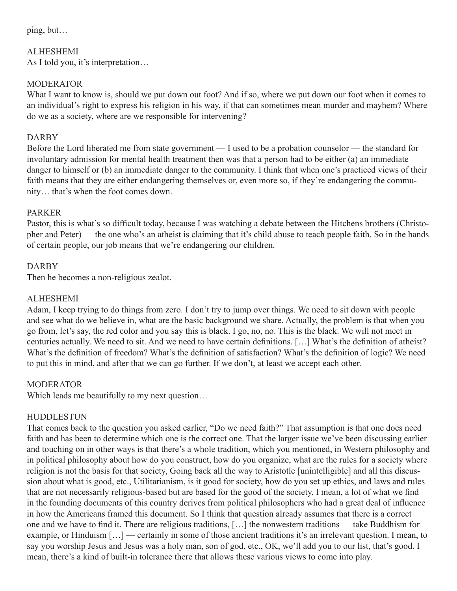ping, but…

ALHESHEMI

As I told you, it's interpretation…

# **MODERATOR**

What I want to know is, should we put down out foot? And if so, where we put down our foot when it comes to an individual's right to express his religion in his way, if that can sometimes mean murder and mayhem? Where do we as a society, where are we responsible for intervening?

# DARBY

Before the Lord liberated me from state government — I used to be a probation counselor — the standard for involuntary admission for mental health treatment then was that a person had to be either (a) an immediate danger to himself or (b) an immediate danger to the community. I think that when one's practiced views of their faith means that they are either endangering themselves or, even more so, if they're endangering the community… that's when the foot comes down.

# PARKER

Pastor, this is what's so difficult today, because I was watching a debate between the Hitchens brothers (Christopher and Peter) — the one who's an atheist is claiming that it's child abuse to teach people faith. So in the hands of certain people, our job means that we're endangering our children.

# DARBY

Then he becomes a non-religious zealot.

# ALHESHEMI

Adam, I keep trying to do things from zero. I don't try to jump over things. We need to sit down with people and see what do we believe in, what are the basic background we share. Actually, the problem is that when you go from, let's say, the red color and you say this is black. I go, no, no. This is the black. We will not meet in centuries actually. We need to sit. And we need to have certain definitions. […] What's the definition of atheist? What's the definition of freedom? What's the definition of satisfaction? What's the definition of logic? We need to put this in mind, and after that we can go further. If we don't, at least we accept each other.

# **MODERATOR**

Which leads me beautifully to my next question...

# HUDDLESTUN

That comes back to the question you asked earlier, "Do we need faith?" That assumption is that one does need faith and has been to determine which one is the correct one. That the larger issue we've been discussing earlier and touching on in other ways is that there's a whole tradition, which you mentioned, in Western philosophy and in political philosophy about how do you construct, how do you organize, what are the rules for a society where religion is not the basis for that society, Going back all the way to Aristotle [unintelligible] and all this discussion about what is good, etc., Utilitarianism, is it good for society, how do you set up ethics, and laws and rules that are not necessarily religious-based but are based for the good of the society. I mean, a lot of what we find in the founding documents of this country derives from political philosophers who had a great deal of influence in how the Americans framed this document. So I think that question already assumes that there is a correct one and we have to find it. There are religious traditions, […] the nonwestern traditions — take Buddhism for example, or Hinduism […] — certainly in some of those ancient traditions it's an irrelevant question. I mean, to say you worship Jesus and Jesus was a holy man, son of god, etc., OK, we'll add you to our list, that's good. I mean, there's a kind of built-in tolerance there that allows these various views to come into play.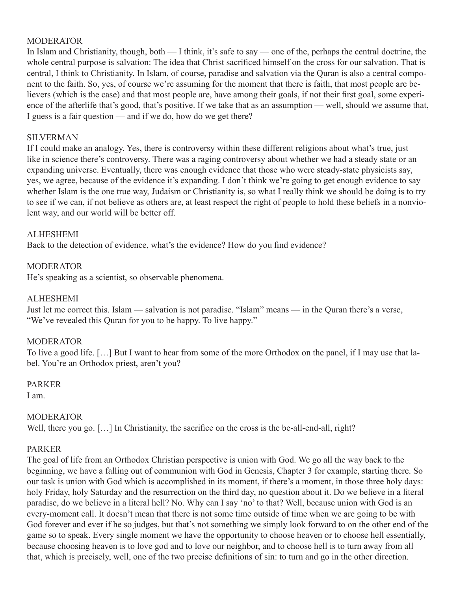### **MODERATOR**

In Islam and Christianity, though, both — I think, it's safe to say — one of the, perhaps the central doctrine, the whole central purpose is salvation: The idea that Christ sacrificed himself on the cross for our salvation. That is central, I think to Christianity. In Islam, of course, paradise and salvation via the Quran is also a central component to the faith. So, yes, of course we're assuming for the moment that there is faith, that most people are believers (which is the case) and that most people are, have among their goals, if not their first goal, some experience of the afterlife that's good, that's positive. If we take that as an assumption — well, should we assume that, I guess is a fair question — and if we do, how do we get there?

#### SILVERMAN

If I could make an analogy. Yes, there is controversy within these different religions about what's true, just like in science there's controversy. There was a raging controversy about whether we had a steady state or an expanding universe. Eventually, there was enough evidence that those who were steady-state physicists say, yes, we agree, because of the evidence it's expanding. I don't think we're going to get enough evidence to say whether Islam is the one true way, Judaism or Christianity is, so what I really think we should be doing is to try to see if we can, if not believe as others are, at least respect the right of people to hold these beliefs in a nonviolent way, and our world will be better off.

#### ALHESHEMI

Back to the detection of evidence, what's the evidence? How do you find evidence?

#### MODERATOR

He's speaking as a scientist, so observable phenomena.

#### ALHESHEMI

Just let me correct this. Islam — salvation is not paradise. "Islam" means — in the Quran there's a verse, "We've revealed this Quran for you to be happy. To live happy."

#### MODERATOR

To live a good life. […] But I want to hear from some of the more Orthodox on the panel, if I may use that label. You're an Orthodox priest, aren't you?

#### PARKER

I am.

# MODERATOR

Well, there you go. [...] In Christianity, the sacrifice on the cross is the be-all-end-all, right?

# PARKER

The goal of life from an Orthodox Christian perspective is union with God. We go all the way back to the beginning, we have a falling out of communion with God in Genesis, Chapter 3 for example, starting there. So our task is union with God which is accomplished in its moment, if there's a moment, in those three holy days: holy Friday, holy Saturday and the resurrection on the third day, no question about it. Do we believe in a literal paradise, do we believe in a literal hell? No. Why can I say 'no' to that? Well, because union with God is an every-moment call. It doesn't mean that there is not some time outside of time when we are going to be with God forever and ever if he so judges, but that's not something we simply look forward to on the other end of the game so to speak. Every single moment we have the opportunity to choose heaven or to choose hell essentially, because choosing heaven is to love god and to love our neighbor, and to choose hell is to turn away from all that, which is precisely, well, one of the two precise definitions of sin: to turn and go in the other direction.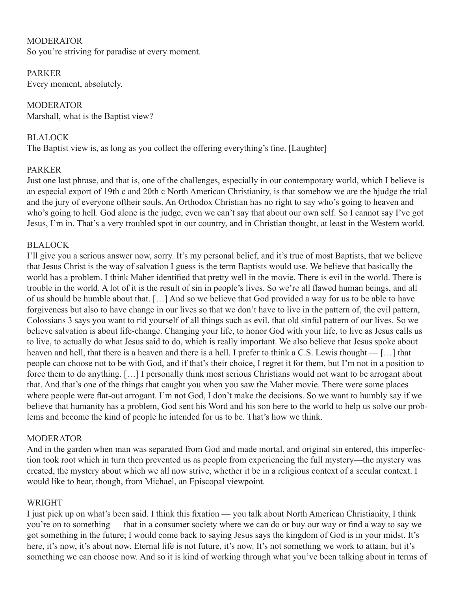**MODERATOR** So you're striving for paradise at every moment.

PARKER Every moment, absolutely.

**MODERATOR** Marshall, what is the Baptist view?

# BLALOCK

The Baptist view is, as long as you collect the offering everything's fine. [Laughter]

# PARKER

Just one last phrase, and that is, one of the challenges, especially in our contemporary world, which I believe is an especial export of 19th c and 20th c North American Christianity, is that somehow we are the hjudge the trial and the jury of everyone oftheir souls. An Orthodox Christian has no right to say who's going to heaven and who's going to hell. God alone is the judge, even we can't say that about our own self. So I cannot say I've got Jesus, I'm in. That's a very troubled spot in our country, and in Christian thought, at least in the Western world.

# BLALOCK

I'll give you a serious answer now, sorry. It's my personal belief, and it's true of most Baptists, that we believe that Jesus Christ is the way of salvation I guess is the term Baptists would use. We believe that basically the world has a problem. I think Maher identified that pretty well in the movie. There is evil in the world. There is trouble in the world. A lot of it is the result of sin in people's lives. So we're all flawed human beings, and all of us should be humble about that. […] And so we believe that God provided a way for us to be able to have forgiveness but also to have change in our lives so that we don't have to live in the pattern of, the evil pattern, Colossians 3 says you want to rid yourself of all things such as evil, that old sinful pattern of our lives. So we believe salvation is about life-change. Changing your life, to honor God with your life, to live as Jesus calls us to live, to actually do what Jesus said to do, which is really important. We also believe that Jesus spoke about heaven and hell, that there is a heaven and there is a hell. I prefer to think a C.S. Lewis thought — […] that people can choose not to be with God, and if that's their choice, I regret it for them, but I'm not in a position to force them to do anything. […] I personally think most serious Christians would not want to be arrogant about that. And that's one of the things that caught you when you saw the Maher movie. There were some places where people were flat-out arrogant. I'm not God, I don't make the decisions. So we want to humbly say if we believe that humanity has a problem, God sent his Word and his son here to the world to help us solve our problems and become the kind of people he intended for us to be. That's how we think.

# **MODERATOR**

And in the garden when man was separated from God and made mortal, and original sin entered, this imperfection took root which in turn then prevented us as people from experiencing the full mystery—the mystery was created, the mystery about which we all now strive, whether it be in a religious context of a secular context. I would like to hear, though, from Michael, an Episcopal viewpoint.

# WRIGHT

I just pick up on what's been said. I think this fixation — you talk about North American Christianity, I think you're on to something — that in a consumer society where we can do or buy our way or find a way to say we got something in the future; I would come back to saying Jesus says the kingdom of God is in your midst. It's here, it's now, it's about now. Eternal life is not future, it's now. It's not something we work to attain, but it's something we can choose now. And so it is kind of working through what you've been talking about in terms of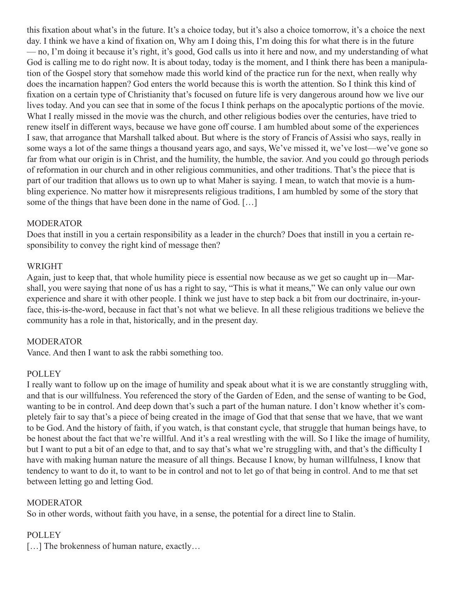this fixation about what's in the future. It's a choice today, but it's also a choice tomorrow, it's a choice the next day. I think we have a kind of fixation on, Why am I doing this, I'm doing this for what there is in the future — no, I'm doing it because it's right, it's good, God calls us into it here and now, and my understanding of what God is calling me to do right now. It is about today, today is the moment, and I think there has been a manipulation of the Gospel story that somehow made this world kind of the practice run for the next, when really why does the incarnation happen? God enters the world because this is worth the attention. So I think this kind of fixation on a certain type of Christianity that's focused on future life is very dangerous around how we live our lives today. And you can see that in some of the focus I think perhaps on the apocalyptic portions of the movie. What I really missed in the movie was the church, and other religious bodies over the centuries, have tried to renew itself in different ways, because we have gone off course. I am humbled about some of the experiences I saw, that arrogance that Marshall talked about. But where is the story of Francis of Assisi who says, really in some ways a lot of the same things a thousand years ago, and says, We've missed it, we've lost—we've gone so far from what our origin is in Christ, and the humility, the humble, the savior. And you could go through periods of reformation in our church and in other religious communities, and other traditions. That's the piece that is part of our tradition that allows us to own up to what Maher is saying. I mean, to watch that movie is a humbling experience. No matter how it misrepresents religious traditions, I am humbled by some of the story that some of the things that have been done in the name of God. […]

# MODERATOR

Does that instill in you a certain responsibility as a leader in the church? Does that instill in you a certain responsibility to convey the right kind of message then?

# WRIGHT

Again, just to keep that, that whole humility piece is essential now because as we get so caught up in—Marshall, you were saying that none of us has a right to say, "This is what it means," We can only value our own experience and share it with other people. I think we just have to step back a bit from our doctrinaire, in-yourface, this-is-the-word, because in fact that's not what we believe. In all these religious traditions we believe the community has a role in that, historically, and in the present day.

# **MODERATOR**

Vance. And then I want to ask the rabbi something too.

# **POLLEY**

I really want to follow up on the image of humility and speak about what it is we are constantly struggling with, and that is our willfulness. You referenced the story of the Garden of Eden, and the sense of wanting to be God, wanting to be in control. And deep down that's such a part of the human nature. I don't know whether it's completely fair to say that's a piece of being created in the image of God that that sense that we have, that we want to be God. And the history of faith, if you watch, is that constant cycle, that struggle that human beings have, to be honest about the fact that we're willful. And it's a real wrestling with the will. So I like the image of humility, but I want to put a bit of an edge to that, and to say that's what we're struggling with, and that's the difficulty I have with making human nature the measure of all things. Because I know, by human willfulness, I know that tendency to want to do it, to want to be in control and not to let go of that being in control. And to me that set between letting go and letting God.

# MODERATOR

So in other words, without faith you have, in a sense, the potential for a direct line to Stalin.

# POLLEY

[...] The brokenness of human nature, exactly...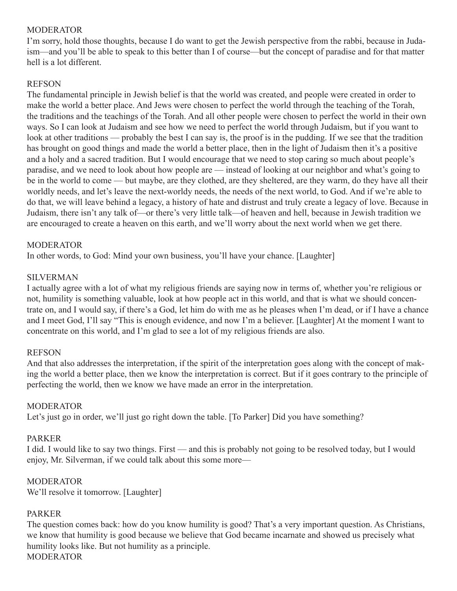# MODERATOR

I'm sorry, hold those thoughts, because I do want to get the Jewish perspective from the rabbi, because in Judaism—and you'll be able to speak to this better than I of course—but the concept of paradise and for that matter hell is a lot different.

### REFSON

The fundamental principle in Jewish belief is that the world was created, and people were created in order to make the world a better place. And Jews were chosen to perfect the world through the teaching of the Torah, the traditions and the teachings of the Torah. And all other people were chosen to perfect the world in their own ways. So I can look at Judaism and see how we need to perfect the world through Judaism, but if you want to look at other traditions — probably the best I can say is, the proof is in the pudding. If we see that the tradition has brought on good things and made the world a better place, then in the light of Judaism then it's a positive and a holy and a sacred tradition. But I would encourage that we need to stop caring so much about people's paradise, and we need to look about how people are — instead of looking at our neighbor and what's going to be in the world to come — but maybe, are they clothed, are they sheltered, are they warm, do they have all their worldly needs, and let's leave the next-worldy needs, the needs of the next world, to God. And if we're able to do that, we will leave behind a legacy, a history of hate and distrust and truly create a legacy of love. Because in Judaism, there isn't any talk of—or there's very little talk—of heaven and hell, because in Jewish tradition we are encouraged to create a heaven on this earth, and we'll worry about the next world when we get there.

# MODERATOR

In other words, to God: Mind your own business, you'll have your chance. [Laughter]

#### SILVERMAN

I actually agree with a lot of what my religious friends are saying now in terms of, whether you're religious or not, humility is something valuable, look at how people act in this world, and that is what we should concentrate on, and I would say, if there's a God, let him do with me as he pleases when I'm dead, or if I have a chance and I meet God, I'll say "This is enough evidence, and now I'm a believer. [Laughter] At the moment I want to concentrate on this world, and I'm glad to see a lot of my religious friends are also.

#### REFSON

And that also addresses the interpretation, if the spirit of the interpretation goes along with the concept of making the world a better place, then we know the interpretation is correct. But if it goes contrary to the principle of perfecting the world, then we know we have made an error in the interpretation.

# **MODERATOR**

Let's just go in order, we'll just go right down the table. [To Parker] Did you have something?

#### PARKER

I did. I would like to say two things. First — and this is probably not going to be resolved today, but I would enjoy, Mr. Silverman, if we could talk about this some more—

# **MODERATOR**

We'll resolve it tomorrow. [Laughter]

#### PARKER

The question comes back: how do you know humility is good? That's a very important question. As Christians, we know that humility is good because we believe that God became incarnate and showed us precisely what humility looks like. But not humility as a principle. **MODERATOR**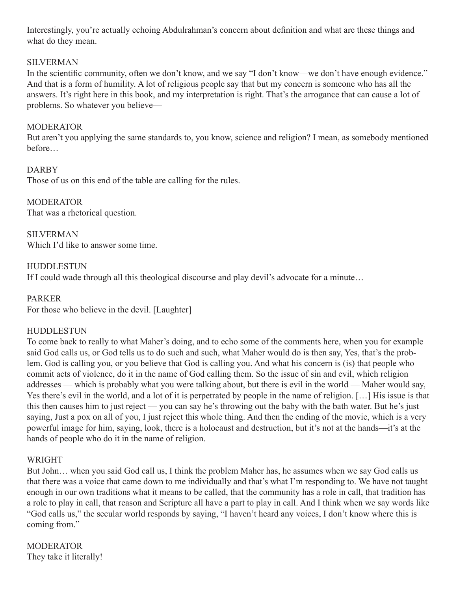Interestingly, you're actually echoing Abdulrahman's concern about definition and what are these things and what do they mean.

# SILVERMAN

In the scientific community, often we don't know, and we say "I don't know—we don't have enough evidence." And that is a form of humility. A lot of religious people say that but my concern is someone who has all the answers. It's right here in this book, and my interpretation is right. That's the arrogance that can cause a lot of problems. So whatever you believe—

# MODERATOR

But aren't you applying the same standards to, you know, science and religion? I mean, as somebody mentioned before…

# DARBY

Those of us on this end of the table are calling for the rules.

**MODERATOR** That was a rhetorical question.

SILVERMAN Which I'd like to answer some time.

HUDDLESTUN

If I could wade through all this theological discourse and play devil's advocate for a minute…

# PARKER

For those who believe in the devil. [Laughter]

# HUDDLESTUN

To come back to really to what Maher's doing, and to echo some of the comments here, when you for example said God calls us, or God tells us to do such and such, what Maher would do is then say, Yes, that's the problem. God is calling you, or you believe that God is calling you. And what his concern is (is) that people who commit acts of violence, do it in the name of God calling them. So the issue of sin and evil, which religion addresses — which is probably what you were talking about, but there is evil in the world — Maher would say, Yes there's evil in the world, and a lot of it is perpetrated by people in the name of religion. […] His issue is that this then causes him to just reject — you can say he's throwing out the baby with the bath water. But he's just saying, Just a pox on all of you, I just reject this whole thing. And then the ending of the movie, which is a very powerful image for him, saying, look, there is a holocaust and destruction, but it's not at the hands—it's at the hands of people who do it in the name of religion.

# WRIGHT

But John… when you said God call us, I think the problem Maher has, he assumes when we say God calls us that there was a voice that came down to me individually and that's what I'm responding to. We have not taught enough in our own traditions what it means to be called, that the community has a role in call, that tradition has a role to play in call, that reason and Scripture all have a part to play in call. And I think when we say words like "God calls us," the secular world responds by saying, "I haven't heard any voices, I don't know where this is coming from."

**MODERATOR** They take it literally!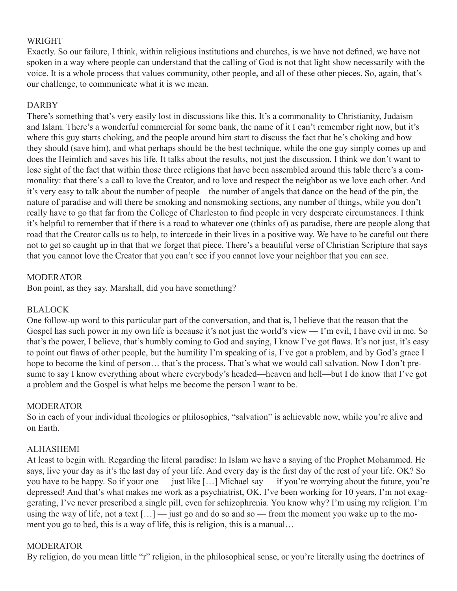# WRIGHT

Exactly. So our failure, I think, within religious institutions and churches, is we have not defined, we have not spoken in a way where people can understand that the calling of God is not that light show necessarily with the voice. It is a whole process that values community, other people, and all of these other pieces. So, again, that's our challenge, to communicate what it is we mean.

# DARBY

There's something that's very easily lost in discussions like this. It's a commonality to Christianity, Judaism and Islam. There's a wonderful commercial for some bank, the name of it I can't remember right now, but it's where this guy starts choking, and the people around him start to discuss the fact that he's choking and how they should (save him), and what perhaps should be the best technique, while the one guy simply comes up and does the Heimlich and saves his life. It talks about the results, not just the discussion. I think we don't want to lose sight of the fact that within those three religions that have been assembled around this table there's a commonality: that there's a call to love the Creator, and to love and respect the neighbor as we love each other. And it's very easy to talk about the number of people—the number of angels that dance on the head of the pin, the nature of paradise and will there be smoking and nonsmoking sections, any number of things, while you don't really have to go that far from the College of Charleston to find people in very desperate circumstances. I think it's helpful to remember that if there is a road to whatever one (thinks of) as paradise, there are people along that road that the Creator calls us to help, to intercede in their lives in a positive way. We have to be careful out there not to get so caught up in that that we forget that piece. There's a beautiful verse of Christian Scripture that says that you cannot love the Creator that you can't see if you cannot love your neighbor that you can see.

# MODERATOR

Bon point, as they say. Marshall, did you have something?

# BLALOCK

One follow-up word to this particular part of the conversation, and that is, I believe that the reason that the Gospel has such power in my own life is because it's not just the world's view — I'm evil, I have evil in me. So that's the power, I believe, that's humbly coming to God and saying, I know I've got flaws. It's not just, it's easy to point out flaws of other people, but the humility I'm speaking of is, I've got a problem, and by God's grace I hope to become the kind of person... that's the process. That's what we would call salvation. Now I don't presume to say I know everything about where everybody's headed—heaven and hell—but I do know that I've got a problem and the Gospel is what helps me become the person I want to be.

# MODERATOR

So in each of your individual theologies or philosophies, "salvation" is achievable now, while you're alive and on Earth.

# ALHASHEMI

At least to begin with. Regarding the literal paradise: In Islam we have a saying of the Prophet Mohammed. He says, live your day as it's the last day of your life. And every day is the first day of the rest of your life. OK? So you have to be happy. So if your one — just like […] Michael say — if you're worrying about the future, you're depressed! And that's what makes me work as a psychiatrist, OK. I've been working for 10 years, I'm not exaggerating, I've never prescribed a single pill, even for schizophrenia. You know why? I'm using my religion. I'm using the way of life, not a text  $[\dots]$  — just go and do so and so — from the moment you wake up to the moment you go to bed, this is a way of life, this is religion, this is a manual…

# MODERATOR

By religion, do you mean little "r" religion, in the philosophical sense, or you're literally using the doctrines of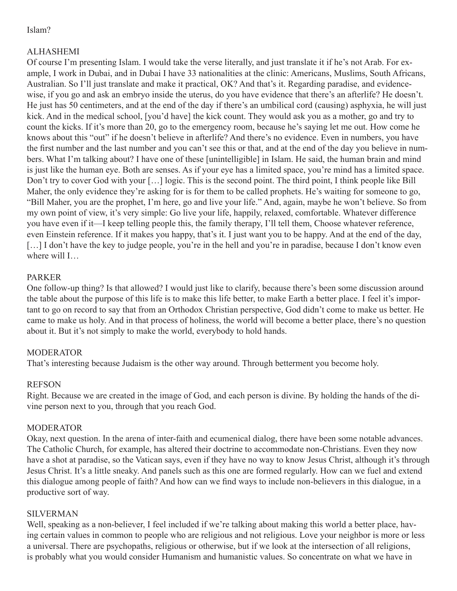# Islam?

# ALHASHEMI

Of course I'm presenting Islam. I would take the verse literally, and just translate it if he's not Arab. For example, I work in Dubai, and in Dubai I have 33 nationalities at the clinic: Americans, Muslims, South Africans, Australian. So I'll just translate and make it practical, OK? And that's it. Regarding paradise, and evidencewise, if you go and ask an embryo inside the uterus, do you have evidence that there's an afterlife? He doesn't. He just has 50 centimeters, and at the end of the day if there's an umbilical cord (causing) asphyxia, he will just kick. And in the medical school, [you'd have] the kick count. They would ask you as a mother, go and try to count the kicks. If it's more than 20, go to the emergency room, because he's saying let me out. How come he knows about this "out" if he doesn't believe in afterlife? And there's no evidence. Even in numbers, you have the first number and the last number and you can't see this or that, and at the end of the day you believe in numbers. What I'm talking about? I have one of these [unintelligible] in Islam. He said, the human brain and mind is just like the human eye. Both are senses. As if your eye has a limited space, you're mind has a limited space. Don't try to cover God with your […] logic. This is the second point. The third point, I think people like Bill Maher, the only evidence they're asking for is for them to be called prophets. He's waiting for someone to go, "Bill Maher, you are the prophet, I'm here, go and live your life." And, again, maybe he won't believe. So from my own point of view, it's very simple: Go live your life, happily, relaxed, comfortable. Whatever difference you have even if it—I keep telling people this, the family therapy, I'll tell them, Choose whatever reference, even Einstein reference. If it makes you happy, that's it. I just want you to be happy. And at the end of the day, [...] I don't have the key to judge people, you're in the hell and you're in paradise, because I don't know even where will I…

# PARKER

One follow-up thing? Is that allowed? I would just like to clarify, because there's been some discussion around the table about the purpose of this life is to make this life better, to make Earth a better place. I feel it's important to go on record to say that from an Orthodox Christian perspective, God didn't come to make us better. He came to make us holy. And in that process of holiness, the world will become a better place, there's no question about it. But it's not simply to make the world, everybody to hold hands.

# MODERATOR

That's interesting because Judaism is the other way around. Through betterment you become holy.

# REFSON

Right. Because we are created in the image of God, and each person is divine. By holding the hands of the divine person next to you, through that you reach God.

# MODERATOR

Okay, next question. In the arena of inter-faith and ecumenical dialog, there have been some notable advances. The Catholic Church, for example, has altered their doctrine to accommodate non-Christians. Even they now have a shot at paradise, so the Vatican says, even if they have no way to know Jesus Christ, although it's through Jesus Christ. It's a little sneaky. And panels such as this one are formed regularly. How can we fuel and extend this dialogue among people of faith? And how can we find ways to include non-believers in this dialogue, in a productive sort of way.

# SILVERMAN

Well, speaking as a non-believer, I feel included if we're talking about making this world a better place, having certain values in common to people who are religious and not religious. Love your neighbor is more or less a universal. There are psychopaths, religious or otherwise, but if we look at the intersection of all religions, is probably what you would consider Humanism and humanistic values. So concentrate on what we have in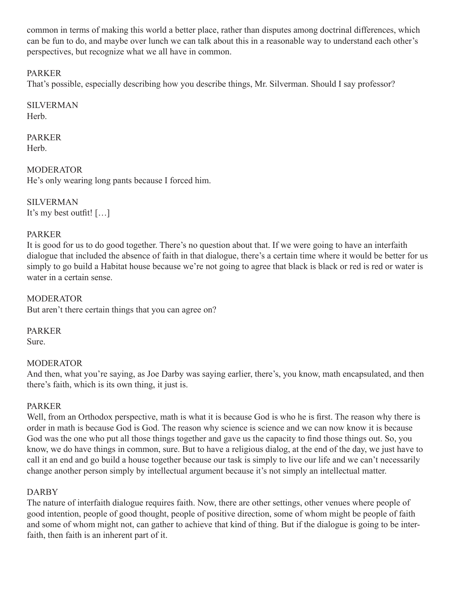common in terms of making this world a better place, rather than disputes among doctrinal differences, which can be fun to do, and maybe over lunch we can talk about this in a reasonable way to understand each other's perspectives, but recognize what we all have in common.

# PARKER

That's possible, especially describing how you describe things, Mr. Silverman. Should I say professor?

SILVERMAN

Herb.

PARKER **Herb.** 

MODERATOR He's only wearing long pants because I forced him.

SILVERMAN It's my best outfit! […]

# PARKER

It is good for us to do good together. There's no question about that. If we were going to have an interfaith dialogue that included the absence of faith in that dialogue, there's a certain time where it would be better for us simply to go build a Habitat house because we're not going to agree that black is black or red is red or water is water in a certain sense.

MODERATOR But aren't there certain things that you can agree on?

PARKER Sure.

# **MODERATOR**

And then, what you're saying, as Joe Darby was saying earlier, there's, you know, math encapsulated, and then there's faith, which is its own thing, it just is.

# PARKER

Well, from an Orthodox perspective, math is what it is because God is who he is first. The reason why there is order in math is because God is God. The reason why science is science and we can now know it is because God was the one who put all those things together and gave us the capacity to find those things out. So, you know, we do have things in common, sure. But to have a religious dialog, at the end of the day, we just have to call it an end and go build a house together because our task is simply to live our life and we can't necessarily change another person simply by intellectual argument because it's not simply an intellectual matter.

# DARBY

The nature of interfaith dialogue requires faith. Now, there are other settings, other venues where people of good intention, people of good thought, people of positive direction, some of whom might be people of faith and some of whom might not, can gather to achieve that kind of thing. But if the dialogue is going to be interfaith, then faith is an inherent part of it.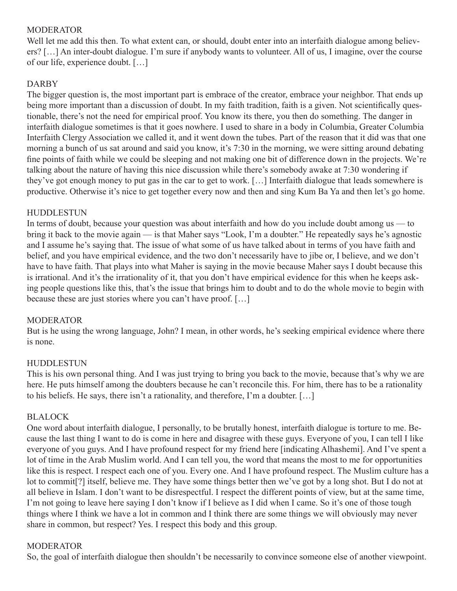# **MODERATOR**

Well let me add this then. To what extent can, or should, doubt enter into an interfaith dialogue among believers? […] An inter-doubt dialogue. I'm sure if anybody wants to volunteer. All of us, I imagine, over the course of our life, experience doubt. […]

# DARBY

The bigger question is, the most important part is embrace of the creator, embrace your neighbor. That ends up being more important than a discussion of doubt. In my faith tradition, faith is a given. Not scientifically questionable, there's not the need for empirical proof. You know its there, you then do something. The danger in interfaith dialogue sometimes is that it goes nowhere. I used to share in a body in Columbia, Greater Columbia Interfaith Clergy Association we called it, and it went down the tubes. Part of the reason that it did was that one morning a bunch of us sat around and said you know, it's 7:30 in the morning, we were sitting around debating fine points of faith while we could be sleeping and not making one bit of difference down in the projects. We're talking about the nature of having this nice discussion while there's somebody awake at 7:30 wondering if they've got enough money to put gas in the car to get to work. […] Interfaith dialogue that leads somewhere is productive. Otherwise it's nice to get together every now and then and sing Kum Ba Ya and then let's go home.

# HUDDLESTUN

In terms of doubt, because your question was about interfaith and how do you include doubt among us — to bring it back to the movie again — is that Maher says "Look, I'm a doubter." He repeatedly says he's agnostic and I assume he's saying that. The issue of what some of us have talked about in terms of you have faith and belief, and you have empirical evidence, and the two don't necessarily have to jibe or, I believe, and we don't have to have faith. That plays into what Maher is saying in the movie because Maher says I doubt because this is irrational. And it's the irrationality of it, that you don't have empirical evidence for this when he keeps asking people questions like this, that's the issue that brings him to doubt and to do the whole movie to begin with because these are just stories where you can't have proof. […]

# MODERATOR

But is he using the wrong language, John? I mean, in other words, he's seeking empirical evidence where there is none.

# HUDDLESTUN

This is his own personal thing. And I was just trying to bring you back to the movie, because that's why we are here. He puts himself among the doubters because he can't reconcile this. For him, there has to be a rationality to his beliefs. He says, there isn't a rationality, and therefore, I'm a doubter. […]

# BLALOCK

One word about interfaith dialogue, I personally, to be brutally honest, interfaith dialogue is torture to me. Because the last thing I want to do is come in here and disagree with these guys. Everyone of you, I can tell I like everyone of you guys. And I have profound respect for my friend here [indicating Alhashemi]. And I've spent a lot of time in the Arab Muslim world. And I can tell you, the word that means the most to me for opportunities like this is respect. I respect each one of you. Every one. And I have profound respect. The Muslim culture has a lot to commit[?] itself, believe me. They have some things better then we've got by a long shot. But I do not at all believe in Islam. I don't want to be disrespectful. I respect the different points of view, but at the same time, I'm not going to leave here saying I don't know if I believe as I did when I came. So it's one of those tough things where I think we have a lot in common and I think there are some things we will obviously may never share in common, but respect? Yes. I respect this body and this group.

# MODERATOR

So, the goal of interfaith dialogue then shouldn't be necessarily to convince someone else of another viewpoint.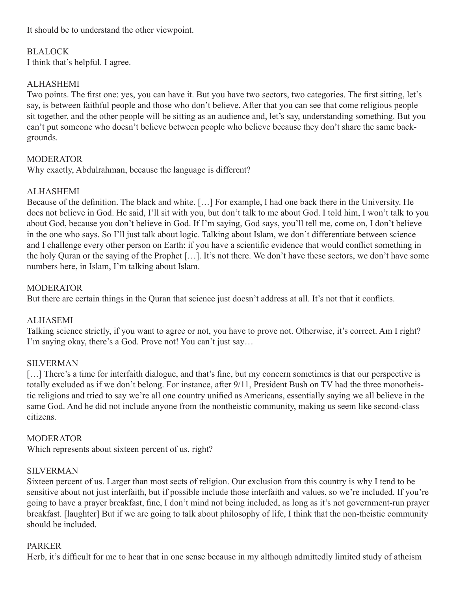It should be to understand the other viewpoint.

# BLALOCK

I think that's helpful. I agree.

# **ALHASHEMI**

Two points. The first one: yes, you can have it. But you have two sectors, two categories. The first sitting, let's say, is between faithful people and those who don't believe. After that you can see that come religious people sit together, and the other people will be sitting as an audience and, let's say, understanding something. But you can't put someone who doesn't believe between people who believe because they don't share the same backgrounds.

# **MODERATOR**

Why exactly, Abdulrahman, because the language is different?

# ALHASHEMI

Because of the definition. The black and white. […] For example, I had one back there in the University. He does not believe in God. He said, I'll sit with you, but don't talk to me about God. I told him, I won't talk to you about God, because you don't believe in God. If I'm saying, God says, you'll tell me, come on, I don't believe in the one who says. So I'll just talk about logic. Talking about Islam, we don't differentiate between science and I challenge every other person on Earth: if you have a scientific evidence that would conflict something in the holy Quran or the saying of the Prophet […]. It's not there. We don't have these sectors, we don't have some numbers here, in Islam, I'm talking about Islam.

# MODERATOR

But there are certain things in the Quran that science just doesn't address at all. It's not that it conflicts.

# ALHASEMI

Talking science strictly, if you want to agree or not, you have to prove not. Otherwise, it's correct. Am I right? I'm saying okay, there's a God. Prove not! You can't just say…

# SILVERMAN

[...] There's a time for interfaith dialogue, and that's fine, but my concern sometimes is that our perspective is totally excluded as if we don't belong. For instance, after 9/11, President Bush on TV had the three monotheistic religions and tried to say we're all one country unified as Americans, essentially saying we all believe in the same God. And he did not include anyone from the nontheistic community, making us seem like second-class citizens.

# **MODERATOR**

Which represents about sixteen percent of us, right?

# SILVERMAN

Sixteen percent of us. Larger than most sects of religion. Our exclusion from this country is why I tend to be sensitive about not just interfaith, but if possible include those interfaith and values, so we're included. If you're going to have a prayer breakfast, fine, I don't mind not being included, as long as it's not government-run prayer breakfast. [laughter] But if we are going to talk about philosophy of life, I think that the non-theistic community should be included.

# PARKER

Herb, it's difficult for me to hear that in one sense because in my although admittedly limited study of atheism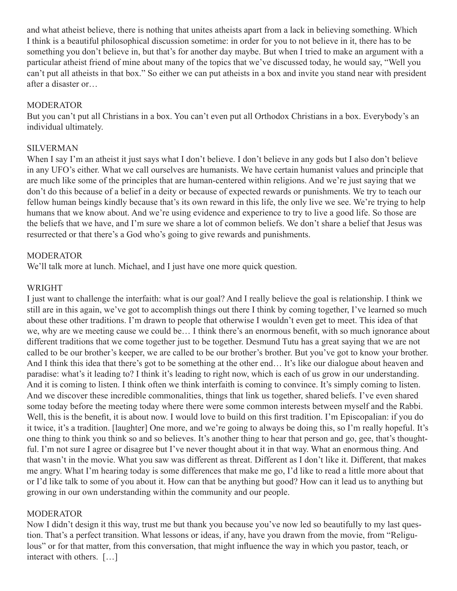and what atheist believe, there is nothing that unites atheists apart from a lack in believing something. Which I think is a beautiful philosophical discussion sometime: in order for you to not believe in it, there has to be something you don't believe in, but that's for another day maybe. But when I tried to make an argument with a particular atheist friend of mine about many of the topics that we've discussed today, he would say, "Well you can't put all atheists in that box." So either we can put atheists in a box and invite you stand near with president after a disaster or…

# **MODERATOR**

But you can't put all Christians in a box. You can't even put all Orthodox Christians in a box. Everybody's an individual ultimately.

# SILVERMAN

When I say I'm an atheist it just says what I don't believe. I don't believe in any gods but I also don't believe in any UFO's either. What we call ourselves are humanists. We have certain humanist values and principle that are much like some of the principles that are human-centered within religions. And we're just saying that we don't do this because of a belief in a deity or because of expected rewards or punishments. We try to teach our fellow human beings kindly because that's its own reward in this life, the only live we see. We're trying to help humans that we know about. And we're using evidence and experience to try to live a good life. So those are the beliefs that we have, and I'm sure we share a lot of common beliefs. We don't share a belief that Jesus was resurrected or that there's a God who's going to give rewards and punishments.

# **MODERATOR**

We'll talk more at lunch. Michael, and I just have one more quick question.

# WRIGHT

I just want to challenge the interfaith: what is our goal? And I really believe the goal is relationship. I think we still are in this again, we've got to accomplish things out there I think by coming together, I've learned so much about these other traditions. I'm drawn to people that otherwise I wouldn't even get to meet. This idea of that we, why are we meeting cause we could be… I think there's an enormous benefit, with so much ignorance about different traditions that we come together just to be together. Desmund Tutu has a great saying that we are not called to be our brother's keeper, we are called to be our brother's brother. But you've got to know your brother. And I think this idea that there's got to be something at the other end… It's like our dialogue about heaven and paradise: what's it leading to? I think it's leading to right now, which is each of us grow in our understanding. And it is coming to listen. I think often we think interfaith is coming to convince. It's simply coming to listen. And we discover these incredible commonalities, things that link us together, shared beliefs. I've even shared some today before the meeting today where there were some common interests between myself and the Rabbi. Well, this is the benefit, it is about now. I would love to build on this first tradition. I'm Episcopalian: if you do it twice, it's a tradition. [laughter] One more, and we're going to always be doing this, so I'm really hopeful. It's one thing to think you think so and so believes. It's another thing to hear that person and go, gee, that's thoughtful. I'm not sure I agree or disagree but I've never thought about it in that way. What an enormous thing. And that wasn't in the movie. What you saw was different as threat. Different as I don't like it. Different, that makes me angry. What I'm hearing today is some differences that make me go, I'd like to read a little more about that or I'd like talk to some of you about it. How can that be anything but good? How can it lead us to anything but growing in our own understanding within the community and our people.

# **MODERATOR**

Now I didn't design it this way, trust me but thank you because you've now led so beautifully to my last question. That's a perfect transition. What lessons or ideas, if any, have you drawn from the movie, from "Religulous" or for that matter, from this conversation, that might influence the way in which you pastor, teach, or interact with others. […]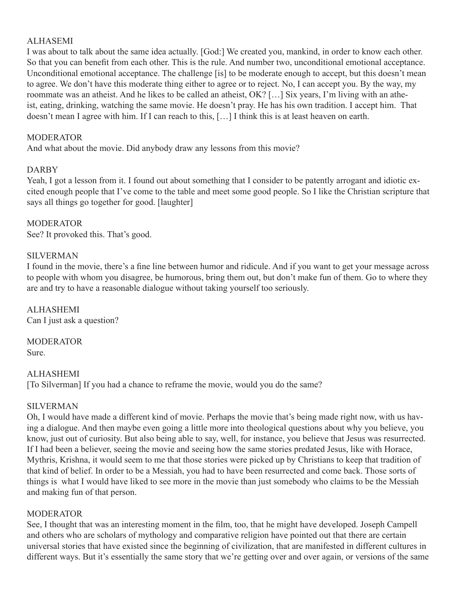# ALHASEMI

I was about to talk about the same idea actually. [God:] We created you, mankind, in order to know each other. So that you can benefit from each other. This is the rule. And number two, unconditional emotional acceptance. Unconditional emotional acceptance. The challenge [is] to be moderate enough to accept, but this doesn't mean to agree. We don't have this moderate thing either to agree or to reject. No, I can accept you. By the way, my roommate was an atheist. And he likes to be called an atheist, OK? […] Six years, I'm living with an atheist, eating, drinking, watching the same movie. He doesn't pray. He has his own tradition. I accept him. That doesn't mean I agree with him. If I can reach to this, […] I think this is at least heaven on earth.

# MODERATOR

And what about the movie. Did anybody draw any lessons from this movie?

# DARBY

Yeah, I got a lesson from it. I found out about something that I consider to be patently arrogant and idiotic excited enough people that I've come to the table and meet some good people. So I like the Christian scripture that says all things go together for good. [laughter]

# **MODERATOR**

See? It provoked this. That's good.

# SILVERMAN

I found in the movie, there's a fine line between humor and ridicule. And if you want to get your message across to people with whom you disagree, be humorous, bring them out, but don't make fun of them. Go to where they are and try to have a reasonable dialogue without taking yourself too seriously.

**ALHASHEMI** Can I just ask a question?

MODERATOR Sure.

# ALHASHEMI

[To Silverman] If you had a chance to reframe the movie, would you do the same?

# SILVERMAN

Oh, I would have made a different kind of movie. Perhaps the movie that's being made right now, with us having a dialogue. And then maybe even going a little more into theological questions about why you believe, you know, just out of curiosity. But also being able to say, well, for instance, you believe that Jesus was resurrected. If I had been a believer, seeing the movie and seeing how the same stories predated Jesus, like with Horace, Mythris, Krishna, it would seem to me that those stories were picked up by Christians to keep that tradition of that kind of belief. In order to be a Messiah, you had to have been resurrected and come back. Those sorts of things is what I would have liked to see more in the movie than just somebody who claims to be the Messiah and making fun of that person.

# MODERATOR

See, I thought that was an interesting moment in the film, too, that he might have developed. Joseph Campell and others who are scholars of mythology and comparative religion have pointed out that there are certain universal stories that have existed since the beginning of civilization, that are manifested in different cultures in different ways. But it's essentially the same story that we're getting over and over again, or versions of the same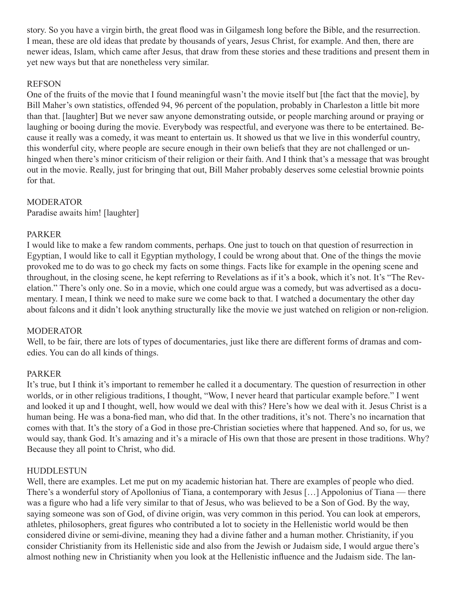story. So you have a virgin birth, the great flood was in Gilgamesh long before the Bible, and the resurrection. I mean, these are old ideas that predate by thousands of years, Jesus Christ, for example. And then, there are newer ideas, Islam, which came after Jesus, that draw from these stories and these traditions and present them in yet new ways but that are nonetheless very similar.

# REFSON

One of the fruits of the movie that I found meaningful wasn't the movie itself but [the fact that the movie], by Bill Maher's own statistics, offended 94, 96 percent of the population, probably in Charleston a little bit more than that. [laughter] But we never saw anyone demonstrating outside, or people marching around or praying or laughing or booing during the movie. Everybody was respectful, and everyone was there to be entertained. Because it really was a comedy, it was meant to entertain us. It showed us that we live in this wonderful country, this wonderful city, where people are secure enough in their own beliefs that they are not challenged or unhinged when there's minor criticism of their religion or their faith. And I think that's a message that was brought out in the movie. Really, just for bringing that out, Bill Maher probably deserves some celestial brownie points for that.

# **MODERATOR**

Paradise awaits him! [laughter]

# PARKER

I would like to make a few random comments, perhaps. One just to touch on that question of resurrection in Egyptian, I would like to call it Egyptian mythology, I could be wrong about that. One of the things the movie provoked me to do was to go check my facts on some things. Facts like for example in the opening scene and throughout, in the closing scene, he kept referring to Revelations as if it's a book, which it's not. It's "The Revelation." There's only one. So in a movie, which one could argue was a comedy, but was advertised as a documentary. I mean, I think we need to make sure we come back to that. I watched a documentary the other day about falcons and it didn't look anything structurally like the movie we just watched on religion or non-religion.

# MODERATOR

Well, to be fair, there are lots of types of documentaries, just like there are different forms of dramas and comedies. You can do all kinds of things.

# PARKER

It's true, but I think it's important to remember he called it a documentary. The question of resurrection in other worlds, or in other religious traditions, I thought, "Wow, I never heard that particular example before." I went and looked it up and I thought, well, how would we deal with this? Here's how we deal with it. Jesus Christ is a human being. He was a bona-fied man, who did that. In the other traditions, it's not. There's no incarnation that comes with that. It's the story of a God in those pre-Christian societies where that happened. And so, for us, we would say, thank God. It's amazing and it's a miracle of His own that those are present in those traditions. Why? Because they all point to Christ, who did.

# HUDDLESTUN

Well, there are examples. Let me put on my academic historian hat. There are examples of people who died. There's a wonderful story of Apollonius of Tiana, a contemporary with Jesus […] Appolonius of Tiana — there was a figure who had a life very similar to that of Jesus, who was believed to be a Son of God. By the way, saying someone was son of God, of divine origin, was very common in this period. You can look at emperors, athletes, philosophers, great figures who contributed a lot to society in the Hellenistic world would be then considered divine or semi-divine, meaning they had a divine father and a human mother. Christianity, if you consider Christianity from its Hellenistic side and also from the Jewish or Judaism side, I would argue there's almost nothing new in Christianity when you look at the Hellenistic influence and the Judaism side. The lan-